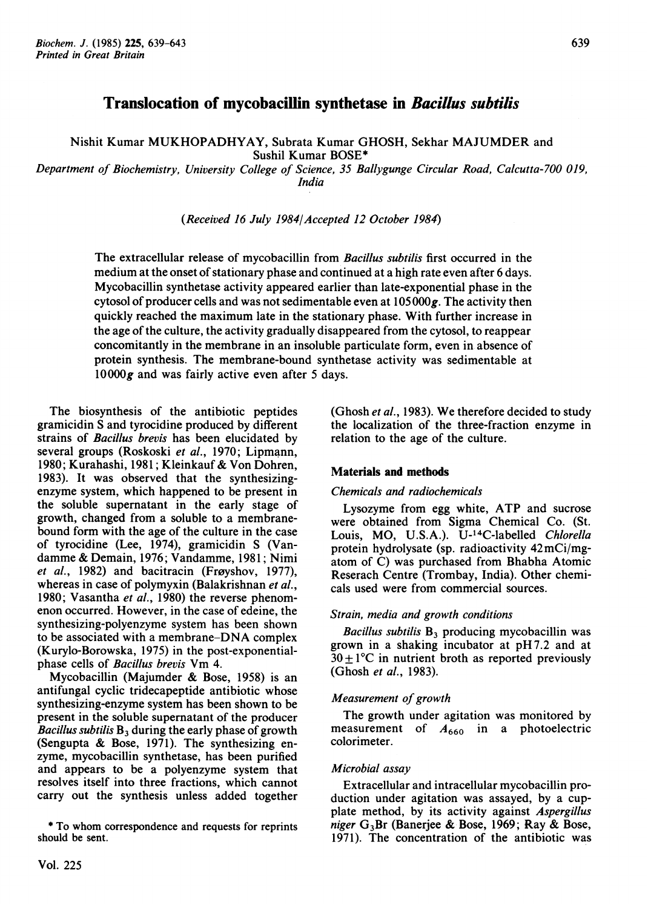# Translocation of mycobacillin synthetase in Bacillus subtilis

Nishit Kumar MUKHOPADHYAY, Subrata Kumar GHOSH, Sekhar MAJUMDER and Sushil Kumar BOSE\*

Department of Biochemistry, University College of Science, 35 Ballygunge Circular Road, Calcutta-700 019, India

(Received 16 July 1984/Accepted 12 October 1984)

The extracellular release of mycobacillin from *Bacillus subtilis* first occurred in the medium at the onset of stationary phase and continued at a high rate even after 6 days. Mycobacillin synthetase activity appeared earlier than late-exponential phase in the cytosol of producer cells and was not sedimentable even at  $105000g$ . The activity then quickly reached the maximum late in the stationary phase. With further increase in the age of the culture, the activity gradually disappeared from the cytosol, to reappear concomitantly in the membrane in an insoluble particulate form, even in absence of protein synthesis. The membrane-bound synthetase activity was sedimentable at  $10000g$  and was fairly active even after 5 days.

The biosynthesis of the antibiotic peptides gramicidin S and tyrocidine produced by different strains of Bacillus brevis has been elucidated by several groups (Roskoski et al., 1970; Lipmann, 1980; Kurahashi, 1981; Kleinkauf & Von Dohren, 1983). It was observed that the synthesizingenzyme system, which happened to be present in the soluble supernatant in the early stage of growth, changed from a soluble to a membranebound form with the age of the culture in the case of tyrocidine (Lee, 1974), gramicidin S (Vandamme & Demain, 1976; Vandamme, 1981; Nimi *et al.*, 1982) and bacitracin (Frøyshov, 1977), whereas in case of polymyxin (Balakrishnan et al., 1980; Vasantha et al., 1980) the reverse phenomenon occurred. However, in the case of edeine, the synthesizing-polyenzyme system has been shown to be associated with a membrane-DNA complex (Kurylo-Borowska, 1975) in the post-exponentialphase cells of Bacillus brevis Vm 4.

Mycobacillin (Majumder & Bose, 1958) is an antifungal cyclic tridecapeptide antibiotic whose synthesizing-enzyme system has been shown to be present in the soluble supernatant of the producer *Bacillus subtilis*  $B_3$  during the early phase of growth (Sengupta & Bose, 1971). The synthesizing enzyme, mycobacillin synthetase, has been purified and appears to be a polyenzyme system that resolves itself into three fractions, which cannot carry out the synthesis unless added together

\* To whom correspondence and requests for reprints should be sent.

(Ghosh et al., 1983). We therefore decided to study the localization of the three-fraction enzyme in relation to the age of the culture.

#### Materials and methods

### Chemicals and radiochemicals

Lysozyme from egg white, ATP and sucrose were obtained from Sigma Chemical Co. (St. Louis, MO, U.S.A.). U-14C-labelled Chlorella protein hydrolysate (sp. radioactivity 42mCi/mgatom of C) was purchased from Bhabha Atomic Reserach Centre (Trombay, India). Other chemicals used were from commercial sources.

#### Strain, media and growth conditions

Bacillus subtilis  $B_3$  producing mycobacillin was grown in <sup>a</sup> shaking incubator at pH 7.2 and at  $30 \pm 1^{\circ}$ C in nutrient broth as reported previously (Ghosh et al., 1983).

#### Measurement of growth

The growth under agitation was monitored by measurement of  $A_{660}$  in a photoelectric colorimeter.

#### Microbial assay

Extracellular and intracellular mycobacillin production under agitation was assayed, by a cupplate method, by its activity against Aspergillus niger  $G_3Br$  (Banerjee & Bose, 1969; Ray & Bose, 1971). The concentration of the antibiotic was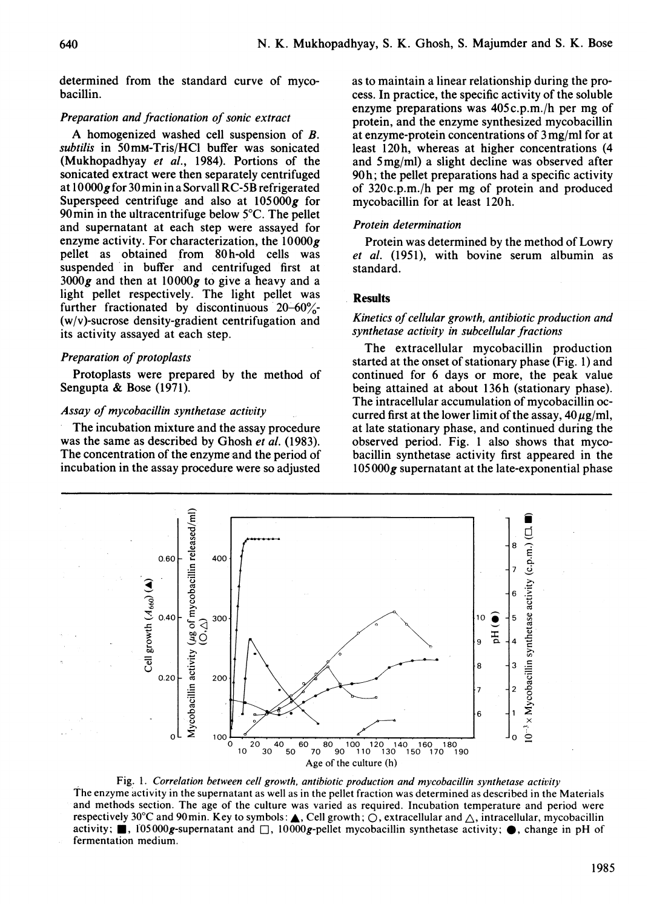determined from the standard curve of mycobacillin.

## Preparation and fractionation of sonic extract

A homogenized washed cell suspension of B. subtilis in 50mM-Tris/HCl buffer was sonicated (Mukhopadhyay et al., 1984). Portions of the sonicated extract were then separately centrifuged at lO OOOg for 30 min in a Sorvall RC-5B refrigerated Superspeed centrifuge and also at  $105000g$  for 90min in the ultracentrifuge below 5°C. The pellet and supernatant at each step were assayed for enzyme activity. For characterization, the  $10000g$ pellet as obtained from 80h-old cells was suspended 'in buffer and centrifuged first at  $3000g$  and then at  $10000g$  to give a heavy and a light pellet respectively. The light pellet was further fractionated by discontinuous  $20-60\frac{6}{6}$ -(w/v)-sucrose density-gradient centrifugation and its activity assayed at each step.

## Preparation of protoplasts

Protoplasts were prepared by the method of Sengupta & Bose (1971).

#### Assay of mycobacillin synthetase activity

The incubation mixture and the assay procedure was the same as described by Ghosh et al. (1983). The concentration of the enzyme and the period of incubation in the assay procedure were so adjusted as to maintain a linear relationship during the process. In practice, the specific activity of the soluble enzyme preparations was 405c.p.m./h per mg of protein, and the enzyme synthesized mycobacillin at enzyme-protein concentrations of 3 mg/ml for at least 120h, whereas at higher concentrations (4) and <sup>5</sup> mg/ml) a slight decline was observed after 90h; the pellet preparations had a specific activity of 320c.p.m./h per mg of protein and produced mycobacillin for at least 120h.

#### Protein determination

Protein was determined by the method of Lowry et al. (1951), with bovine serum albumin as standard.

## **Results**

### Kinetics of cellular growth, antibiotic production and synthetase activity in subcellular fractions

The extracellular mycobacillin production started at the onset of stationary phase (Fig. 1) and continued for 6 days or more, the peak value being attained at about 136h (stationary phase). The intracellular accumulation of mycobacillin occurred first at the lower limit of the assay,  $40 \mu g/ml$ , at late stationary phase, and continued during the observed period. Fig. <sup>1</sup> also shows that mycobacillin synthetase activity first appeared in the  $105000$ g supernatant at the late-exponential phase



Fig. 1. Correlation between cell growth, antibiotic production and mycobacillin synthetase activity The enzyme activity in the supernatant as well as in the pellet fraction was determined as described in the Materials and methods section. The age of the culture was varied as required. Incubation temperature and period were respectively 30°C and 90min. Key to symbols:  $\blacktriangle$ , Cell growth;  $\bigcirc$ , extracellular and  $\bigtriangleup$ , intracellular, mycobacillin activity;  $\blacksquare$ , 105000g-supernatant and  $\square$ , 10000g-pellet mycobacillin synthetase activity;  $\spadesuit$ , change in pH of fermentation medium.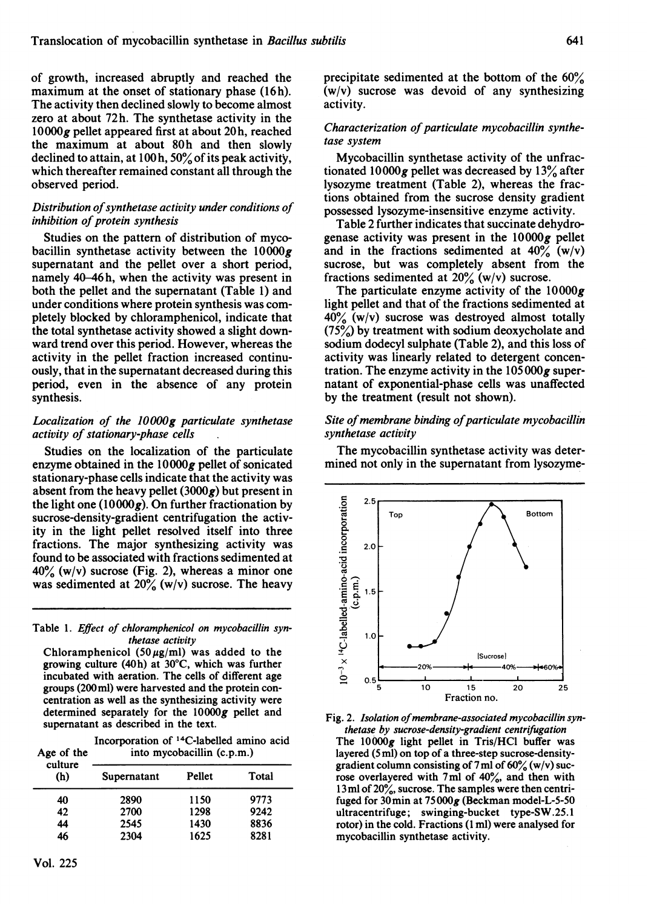of growth, increased abruptly and reached the maximum at the onset of stationary phase (16h). The activity then declined slowly to become almost zero at about 72h. The synthetase activity in the  $10000g$  pellet appeared first at about 20h, reached the maximum at about 80h and then slowly declined to attain, at I00h, 50% of its peak activity, which thereafter remained constant all through the observed period.

## Distribution of synthetase activity under conditions of inhibition of protein synthesis

Studies on the pattern of distribution of mycobacillin synthetase activity between the  $10000g$ supernatant and the pellet over a short period, namely 40-46h, when the activity was present in both the pellet and the supernatant (Table 1) and under conditions where protein synthesis was completely blocked by chloramphenicol, indicate that the total synthetase activity showed a slight downward trend over this period. However, whereas the activity in the pellet fraction increased continuously, that in the supernatant decreased during this period, even in the absence of any protein synthesis.

## Localization of the 10000g particulate synthetase activity of stationary-phase cells

Studies on the localization of the particulate enzyme obtained in the  $10000g$  pellet of sonicated stationary-phase cells indicate that the activity was absent from the heavy pellet  $(3000g)$  but present in the light one  $(10000g)$ . On further fractionation by sucrose-density-gradient centrifugation the activity in the light pellet resolved itself into three fractions. The major synthesizing activity was found to be associated with fractions sedimented at  $40\%$  (w/v) sucrose (Fig. 2), whereas a minor one was sedimented at  $20\%$  (w/v) sucrose. The heavy

Table 1. Effect of chloramphenicol on mycobacillin synthetase activity

Chloramphenicol (50 $\mu$ g/ml) was added to the growing culture (40h) at 30°C, which was further incubated with aeration. The cells of different age groups (200ml) were harvested and the protein concentration as well as the synthesizing activity were determined separately for the 10000g pellet and supernatant as described in the text.

Incorporation of 14C-labelled amino acid Age of the into mycobacillin (c.p.m.)

| culture<br>(h) | Supernatant | Pellet | Total |  |
|----------------|-------------|--------|-------|--|
| 40             | 2890        | 1150   | 9773  |  |
| 42             | 2700        | 1298   | 9242  |  |
| 44             | 2545        | 1430   | 8836  |  |
| 46             | 2304        | 1625   | 8281  |  |
|                |             |        |       |  |

precipitate sedimented at the bottom of the 60% (w/v) sucrose was devoid of any synthesizing activity.

## Characterization of particulate mycobacillin synthetase system

Mycobacillin synthetase activity of the unfractionated  $10000g$  pellet was decreased by  $13\%$  after lysozyme treatment (Table 2), whereas the fractions obtained from the sucrose density gradient possessed lysozyme-insensitive enzyme activity.

Table 2 further indicates that succinate dehydrogenase activity was present in the  $10000g$  pellet and in the fractions sedimented at  $40\%$  (w/v) sucrose, but was completely absent from the fractions sedimented at  $20\%$  (w/v) sucrose.

The particulate enzyme activity of the  $10000g$ light pellet and that of the fractions sedimented at  $40\%$  (w/v) sucrose was destroyed almost totally (75%) by treatment with sodium deoxycholate and sodium dodecyl sulphate (Table 2), and this loss of activity was linearly related to detergent concentration. The enzyme activity in the  $105000g$  supernatant of exponential-phase cells was unaffected by the treatment (result not shown).

## Site of membrane binding of particulate mycobacillin synthetase activity

The mycobacillin synthetase activity was determined not only in the supernatant from lysozyme-



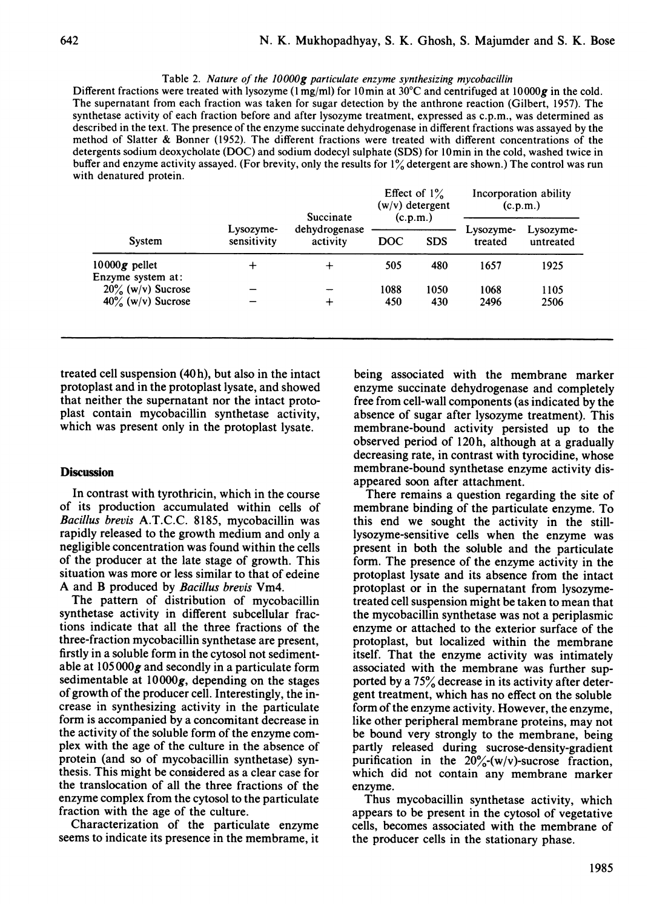Table 2. Nature of the JOOOOg particulate enzyme synthesizing mycobacillin

Different fractions were treated with lysozyme (1 mg/ml) for 10 min at 30 $^{\circ}$ C and centrifuged at 10000g in the cold. The supernatant from each fraction was taken for sugar detection by the anthrone reaction (Gilbert, 1957). The synthetase activity of each fraction before and after lysozyme treatment, expressed as c.p.m., was determined as described in the text. The presence of the enzyme succinate dehydrogenase in different fractions was assayed by the method of Slatter & Bonner (1952). The different fractions were treated with different concentrations of the detergents sodium deoxycholate (DOC) and sodium dodecyl sulphate (SDS) for 10min in the cold, washed twice in buffer and enzyme activity assayed. (For brevity, only the results for 1% detergent are shown.) The control was run with denatured protein.

| System                               | Lysozyme-<br>sensitivity | Succinate<br>dehydrogenase<br>activity | Effect of $1\%$<br>$(w/v)$ detergent<br>(c.p.m.) |            | Incorporation ability<br>(c.p.m.) |                        |
|--------------------------------------|--------------------------|----------------------------------------|--------------------------------------------------|------------|-----------------------------------|------------------------|
|                                      |                          |                                        | <b>DOC</b>                                       | <b>SDS</b> | Lysozyme-<br>treated              | Lysozyme-<br>untreated |
|                                      |                          |                                        |                                                  |            |                                   |                        |
| $10000g$ pellet<br>Enzyme system at: | ┿                        | $\div$                                 | 505                                              | 480        | 1657                              | 1925                   |
| $20\%$ (w/v) Sucrose                 |                          |                                        | 1088                                             | 1050       | 1068                              | 1105                   |
| $40\%$ (w/v) Sucrose                 |                          | ┿                                      | 450                                              | 430        | 2496                              | 2506                   |

treated cell suspension (40 h), but also in the intact protoplast and in the protoplast lysate, and showed that neither the supernatant nor the intact protoplast contain mycobacillin synthetase activity, which was present only in the protoplast lysate.

#### **Discussion**

In contrast with tyrothricin, which in the course of its production accumulated within cells of Bacillus brevis A.T.C.C. 8185, mycobacillin was rapidly released to the growth medium and only a negligible concentration was found within the cells of the producer at the late stage of growth. This situation was more or less similar to that of edeine A and B produced by Bacillus brevis Vm4.

The pattern of distribution of mycobacillin synthetase activity in different subcellular fractions indicate that all the three fractions of the three-fraction mycobacillin synthetase are present, firstly in a soluble form in the cytosol not sedimentable at  $105000g$  and secondly in a particulate form sedimentable at  $10000g$ , depending on the stages of growth of the producer cell. Interestingly, the increase in synthesizing activity in the particulate form is accompanied by a concomitant decrease in the activity of the soluble form of the enzyme complex with the age of the culture in the absence of protein (and so of mycobacillin synthetase) synthesis. This might be considered as a clear case for the translocation of all the three fractions of the enzyme complex from the cytosol to the particulate fraction with the age of the culture.

Characterization of the particulate enzyme seems to indicate its presence in the membrame, it being associated with the membrane marker enzyme succinate dehydrogenase and completely free from cell-wall components (as indicated by the absence of sugar after lysozyme treatment). This membrane-bound activity persisted up to the observed period of 120h, although at a gradually decreasing rate, in contrast with tyrocidine, whose membrane-bound synthetase enzyme activity disappeared soon after attachment.

There remains a question regarding the site of membrane binding of the particulate enzyme. To this end we sought the activity in the stilllysozyme-sensitive cells when the enzyme was present in both the soluble and the particulate form. The presence of the enzyme activity in the protoplast lysate and its absence from the intact protoplast or in the supernatant from lysozymetreated cell suspension might be taken to mean that the mycobacillin synthetase was not a periplasmic enzyme or attached to the exterior surface of the protoplast, but localized within the membrane itself. That the enzyme activity was intimately associated with the membrane was further supported by a 75% decrease in its activity after detergent treatment, which has no effect on the soluble form of the enzyme activity. However, the enzyme, like other peripheral membrane proteins, may not be bound very strongly to the membrane, being partly released during sucrose-density-gradient purification in the  $20\frac{\gamma}{\omega}$ -(w/v)-sucrose fraction, which did not contain any membrane marker enzyme.

Thus mycobacillin synthetase activity, which appears to be present in the cytosol of vegetative cells, becomes associated with the membrane of the producer cells in the stationary phase.